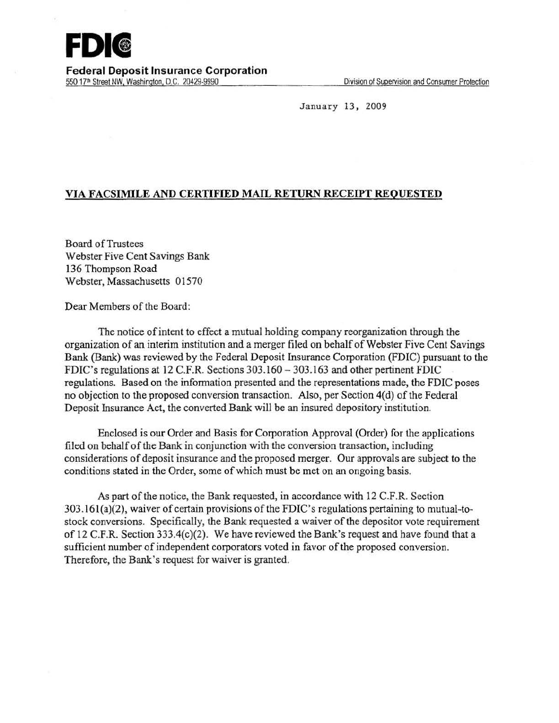

**Federal Deposit Insurance Corporation**  550 17<sup>th</sup> Street NW, Washington, D.C. 20429-9990 Division of Supervision and Consumer Protection

January 13, 2009

## **VIA FACSIMILE AND CERTIFIED MAIL RETURN RECEIPT REQUESTED**

Board of Trustees Webster Five Cent Savings Bank 136 Thompson Road Webster, Massachusetts 01570

Dear Members of the Board:

The notice of intent to effect a mutual holding company reorganization through the organization of an interim institution and a merger filed on behalf of Webster Five Cent Savings Bank (Bank) was reviewed by the Federal Deposit Insurance Corporation (FDIC) pursuant to the FDIC's regulations at 12 C.F.R. Sections 303.160 - 303.1 63 and other pertinent FDIC regulations. Based on the information presented and the representations made, the FDIC poses no objection to the proposed conversion transaction. Also, per Section 4(d) of the Federal Deposit Insurance Act, the converted Bank will be an insured depository institution.

Enclosed is our Order and Basis for Corporation Approval (Order) for the applications filed on behalf of the Bank in conjunction with the conversion transaction, including considerations of deposit insurance and the proposed merger. Our approvals are subject to the conditions stated in the Order, some of which must be met on an ongoing basis.

As part of the notice, the Bank requested, in accordance with 12 C.F.R. Section  $303.161(a)(2)$ , waiver of certain provisions of the FDIC's regulations pertaining to mutual-tostock conversions. Specifically, the Bank requested a waiver of the depositor vote requirement of 12 C.F.R. Section 333.4(c)(2). We have reviewed the Bank's request and have found that a sufficient number of independent corporators voted in favor of the proposed conversion. Therefore, the Bank's request for waiver is granted.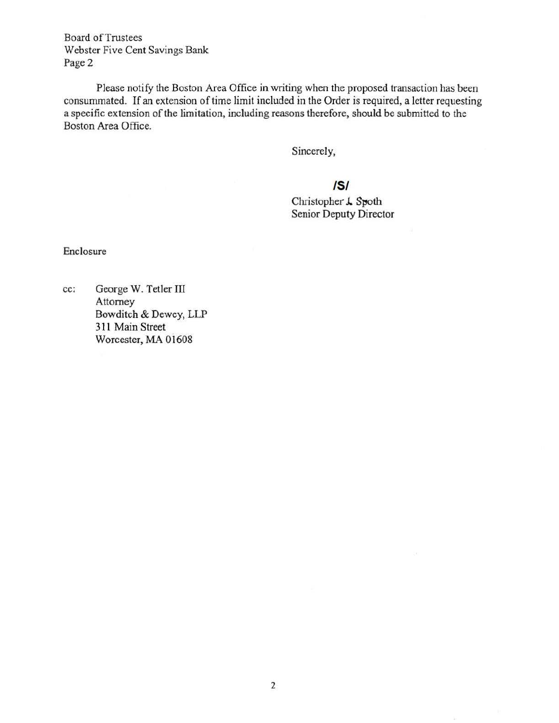**Board of Trustees** Webster Five Cent Savings Bank Page 2

Please notify the Boston Area Office in writing when the proposed transaction has been consummated. If an extension of time limit included in the Order is required, a letter requesting a specific extension of the limitation, including reasons therefore, should be submitted to the Boston Area Office.

Sincerely,

## /5/

Christopher *J.* Spoth Senior Deputy Director

Enclosure

cc; George W. Tetler Til Attorney Bowditch & Dewey, LLP 311 Main Street Worcester, MA Oi608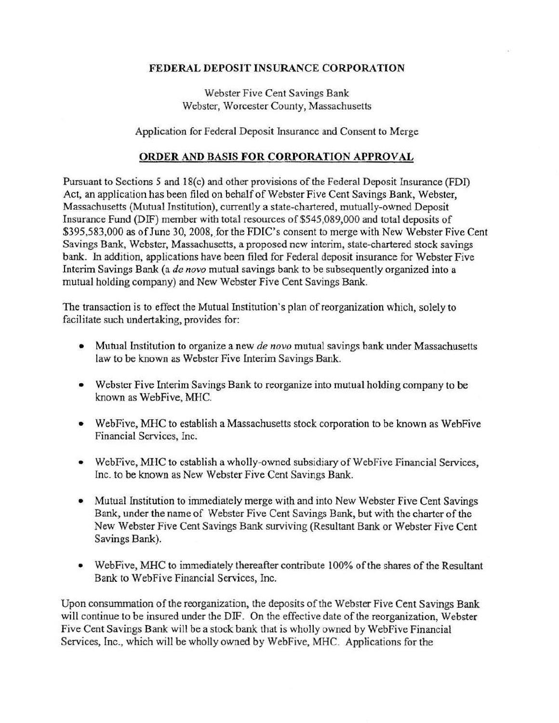## FEDERAL DEPOSIT INSURANCE CORPORATION

Webster Five Cent Savings Bank Webster, Worcester County, Massachusetts

Application for Federal Deposit Insurance and Consent to Merge

## ORDER AND BASIS FOR CORPORATION APPROVAL

Pursuant to Sections *5* and 18(c) and other provisions ofthe Federal Deposit Insurance (FDI) Act, an application has been filed on behalf of Webster Five Cent Savings Bank, Webster, Massachusetts (Mutual Institution), currently a state-chartered, mutually-owned Deposit Insurance Fund (DIF) member with total resources of \$545,089,000 and total deposits of \$395,583,000 as of June 30, 2008, for the FDIC's consent to merge with New Webster Five Cent Savings Bank, Webster, Massachusetts, a proposed new interim, state-chartered stock savings bank. In addition, applications have been filed for Federal deposit insurance for Webster Five Interim Savings Bank (a *de novo* mutual savings bank to be subsequently organized into a mutual holding company) and New Webster Five Cent Savings Bank.

The transaction is to effect the Mutual Institution's plan of reorganization which, solely to facilitate such undertaking, provides for:

- Mutual Institution to organize a new *de novo* mutual savings bank under Massachusetts law to be known as Webster Five Interim Savings Bank.
- Webster Five Interim Savings Bank to reorganize into mutual holding company to be known as WebFive, MHC.
- WebFive, MHC to establish a Massachusetts stock corporation to be known as WebFive Financial Services, Inc.
- WebFive, MHC to establish a wholly-owned subsidiary of WebFive Financial Services, Inc. to be known as New Webster Five Cent Savings Bank.
- Mutual Institution to immediately merge with and into New Webster Five Cent Savings Bank, under the name of Webster Five Cent Savings Bank, but with the charter of the New Webster Five Cent Savings Bank surviving (Resultant Bank or Webster Five Cent Savings Bank).
- WebFive, MHC to immediately thereafter contribute 100% of the shares of the Resultant Bank to WebFive Financial Services, Inc.

Upon consummation of the reorganization, the deposits of the Webster Five Cent Savings Bank will continue to be insured under the DIF. On the effective date of the reorganization, Webster Five Cent Savings Bank will be a stock bank that is wholly owned by WebFive Financial Services, Inc., which will be wholly owned by WebFive, MHC. Applications for the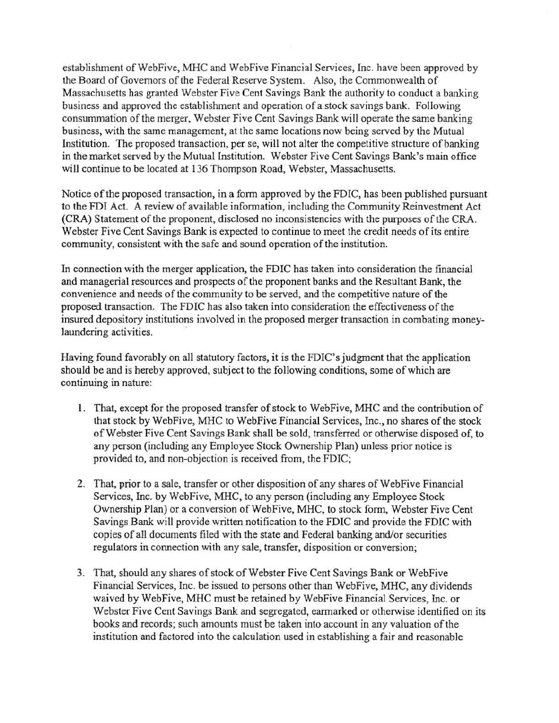establishment of WebFive, MHC and WebFive Financial Services, Inc. have been approved by the Board of Governors of the Federal Reserve System. Also, the Commonwealth of Massachusetts has granted Webster Five Cent Savings Bank the authority to conduct a banking business and approved the establishment and operation of a stock savings bank. Following consummation of the merger, Webster Five Cent Savings Bank will operate the same banking business, with the same management, at the same locations now being served by the Mutual Institution. The proposed transaction, per se, will not alter the competitive structure of banking in the market served by the Mutual Institution. Webster Five Cent Savings Bank's main office will continue to be located at 136 Thompson Road, Webster, Massachusetts.

Notice of the proposed transaction, in a form approved by the FDIC, has been published pursuant to the FDI Act. A review of available information, including the Community Reinvestment Act (CRA) Statement of the proponent, disclosed no inconsistencies with the purposes of the CRA. Webster Five Cent Savings Bank is expected to continue to meet the credit needs of its entire community, consistent with the safe and sound operation of the institution.

In connection with the merger application, the FDIC has taken into consideration the financial and managerial resources and prospects of the proponent banks and the Resultant Bank, the convenience and needs of the community to be served, and the competitive nature of the proposed transaction. The FDIC has also taken into consideration the effectiveness of the insured depository institutions involved in the proposed merger transaction in combating moneylaundering activities.

Having found favorably on all statutory factors, it is the FDIC's judgment that the application should be and is hereby approved, subject to the following conditions, some of which are continuing in nature:

- I. That, except for the proposed transfer of stock to WebFive, MHC and the contribution of that stock by WebFive, MHC to WebFive Financial Services, Inc., no shares of the stock of Webster Five Cent Savings Bank shall be sold, transferred or otherwise disposed of, to any person (including any Employee Stock Ownership Plan) unless prior notice is provided to, and non-objection is received from, the FDIC;
- 2. That, prior to a sale, transfer or other disposition of any shares of WebFive Financial Services, Inc. by WebFive, MHC, to any person (including any Employee Stock Ownership Plan) or a conversion of WebFive, MHC, to stock form, Webster Five Cent Savings Bank will provide written notification to the FDIC and provide the FDIC with copies of all documents filed with the state and Federal banking and/or securities regulators in connection with any sale, transfer, disposition or conversion;
- 3. That, should any shares of stock of Webster Five Cent Savings Bank or WebFive Financial Services, Inc. be issued to persons other than WebFive, MHC, any dividends waived by WebFive, MHC must be retained by WebFive Financial Services, Inc. or Webster Five Cent Savings Bank and segregated, earmarked or otherwise identified on its books and records; such amounts must be taken into account in any valuation of the institution and factored into the calculation used in establishing a fair and reasonable